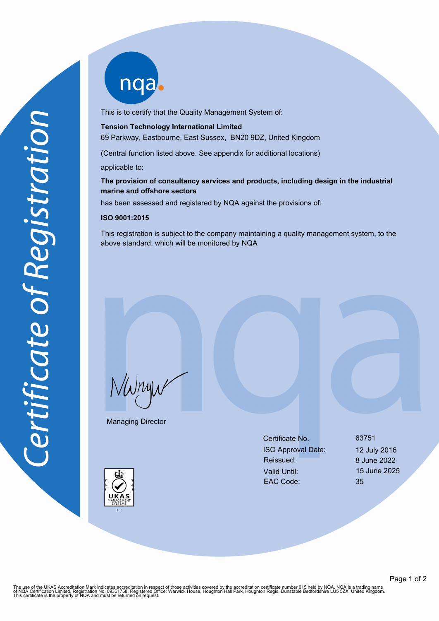nqab

This is to certify that the Quality Management System of:

#### **Tension Technology International Limited**

69 Parkway, Eastbourne, East Sussex, BN20 9DZ, United Kingdom

(Central function listed above. See appendix for additional locations)

applicable to:

# **The provision of consultancy services and products, including design in the industrial marine and offshore sectors**

has been assessed and registered by NQA against the provisions of:

### **ISO 9001:2015**

This registration is subject to the company maintaining a quality management system, to the above standard, which will be monitored by NQA

NWnyw

Managing Director